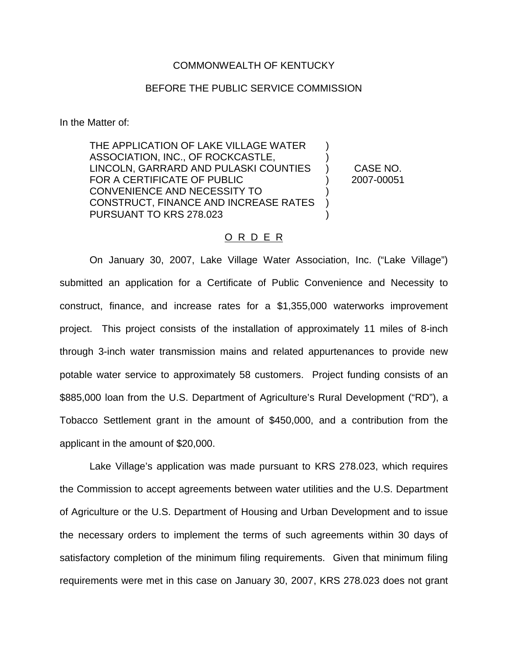### COMMONWEALTH OF KENTUCKY

## BEFORE THE PUBLIC SERVICE COMMISSION

In the Matter of:

THE APPLICATION OF LAKE VILLAGE WATER ASSOCIATION, INC., OF ROCKCASTLE, LINCOLN, GARRARD AND PULASKI COUNTIES FOR A CERTIFICATE OF PUBLIC CONVENIENCE AND NECESSITY TO CONSTRUCT, FINANCE AND INCREASE RATES PURSUANT TO KRS 278.023 ) ) ) ) ) ) )

CASE NO. 2007-00051

#### O R D E R

On January 30, 2007, Lake Village Water Association, Inc. ("Lake Village") submitted an application for a Certificate of Public Convenience and Necessity to construct, finance, and increase rates for a \$1,355,000 waterworks improvement project. This project consists of the installation of approximately 11 miles of 8-inch through 3-inch water transmission mains and related appurtenances to provide new potable water service to approximately 58 customers. Project funding consists of an \$885,000 loan from the U.S. Department of Agriculture's Rural Development ("RD"), a Tobacco Settlement grant in the amount of \$450,000, and a contribution from the applicant in the amount of \$20,000.

Lake Village's application was made pursuant to KRS 278.023, which requires the Commission to accept agreements between water utilities and the U.S. Department of Agriculture or the U.S. Department of Housing and Urban Development and to issue the necessary orders to implement the terms of such agreements within 30 days of satisfactory completion of the minimum filing requirements. Given that minimum filing requirements were met in this case on January 30, 2007, KRS 278.023 does not grant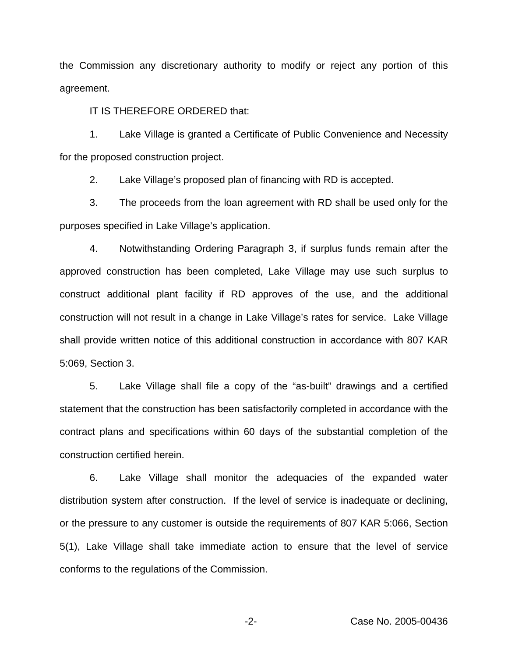the Commission any discretionary authority to modify or reject any portion of this agreement.

IT IS THEREFORE ORDERED that:

1. Lake Village is granted a Certificate of Public Convenience and Necessity for the proposed construction project.

2. Lake Village's proposed plan of financing with RD is accepted.

3. The proceeds from the loan agreement with RD shall be used only for the purposes specified in Lake Village's application.

4. Notwithstanding Ordering Paragraph 3, if surplus funds remain after the approved construction has been completed, Lake Village may use such surplus to construct additional plant facility if RD approves of the use, and the additional construction will not result in a change in Lake Village's rates for service. Lake Village shall provide written notice of this additional construction in accordance with 807 KAR 5:069, Section 3.

5. Lake Village shall file a copy of the "as-built" drawings and a certified statement that the construction has been satisfactorily completed in accordance with the contract plans and specifications within 60 days of the substantial completion of the construction certified herein.

6. Lake Village shall monitor the adequacies of the expanded water distribution system after construction. If the level of service is inadequate or declining, or the pressure to any customer is outside the requirements of 807 KAR 5:066, Section 5(1), Lake Village shall take immediate action to ensure that the level of service conforms to the regulations of the Commission.

-2- Case No. 2005-00436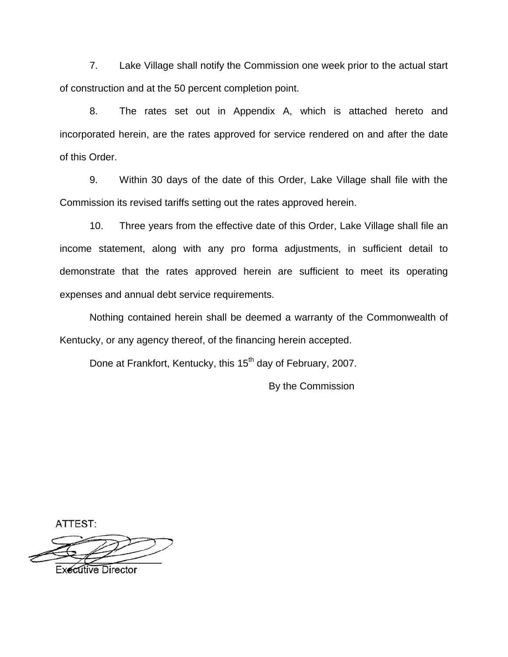7. Lake Village shall notify the Commission one week prior to the actual start of construction and at the 50 percent completion point.

8. The rates set out in Appendix A, which is attached hereto and incorporated herein, are the rates approved for service rendered on and after the date of this Order.

9. Within 30 days of the date of this Order, Lake Village shall file with the Commission its revised tariffs setting out the rates approved herein.

10. Three years from the effective date of this Order, Lake Village shall file an income statement, along with any pro forma adjustments, in sufficient detail to demonstrate that the rates approved herein are sufficient to meet its operating expenses and annual debt service requirements.

Nothing contained herein shall be deemed a warranty of the Commonwealth of Kentucky, or any agency thereof, of the financing herein accepted.

Done at Frankfort, Kentucky, this 15<sup>th</sup> day of February, 2007.

By the Commission

ATTEST:

**Executive Director**